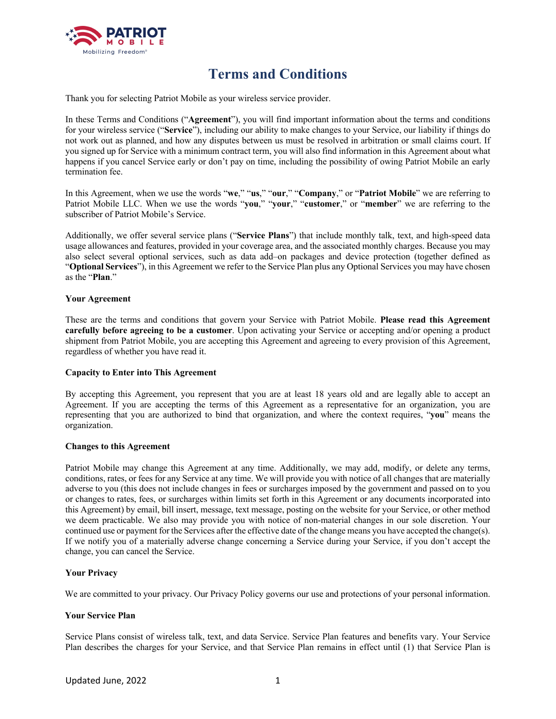

# **Terms and Conditions**

Thank you for selecting Patriot Mobile as your wireless service provider.

In these Terms and Conditions ("**Agreement**"), you will find important information about the terms and conditions for your wireless service ("**Service**"), including our ability to make changes to your Service, our liability if things do not work out as planned, and how any disputes between us must be resolved in arbitration or small claims court. If you signed up for Service with a minimum contract term, you will also find information in this Agreement about what happens if you cancel Service early or don't pay on time, including the possibility of owing Patriot Mobile an early termination fee.

In this Agreement, when we use the words "**we**," "**us**," "**our**," "**Company**," or "**Patriot Mobile**" we are referring to Patriot Mobile LLC. When we use the words "**you**," "**your**," "**customer**," or "**member**" we are referring to the subscriber of Patriot Mobile's Service.

Additionally, we offer several service plans ("**Service Plans**") that include monthly talk, text, and high-speed data usage allowances and features, provided in your coverage area, and the associated monthly charges. Because you may also select several optional services, such as data add–on packages and device protection (together defined as "**Optional Services**"), in this Agreement we refer to the Service Plan plus any Optional Services you may have chosen as the "**Plan**."

#### **Your Agreement**

These are the terms and conditions that govern your Service with Patriot Mobile. **Please read this Agreement carefully before agreeing to be a customer**. Upon activating your Service or accepting and/or opening a product shipment from Patriot Mobile, you are accepting this Agreement and agreeing to every provision of this Agreement, regardless of whether you have read it.

#### **Capacity to Enter into This Agreement**

By accepting this Agreement, you represent that you are at least 18 years old and are legally able to accept an Agreement. If you are accepting the terms of this Agreement as a representative for an organization, you are representing that you are authorized to bind that organization, and where the context requires, "**you**" means the organization.

#### **Changes to this Agreement**

Patriot Mobile may change this Agreement at any time. Additionally, we may add, modify, or delete any terms, conditions, rates, or fees for any Service at any time. We will provide you with notice of all changes that are materially adverse to you (this does not include changes in fees or surcharges imposed by the government and passed on to you or changes to rates, fees, or surcharges within limits set forth in this Agreement or any documents incorporated into this Agreement) by email, bill insert, message, text message, posting on the website for your Service, or other method we deem practicable. We also may provide you with notice of non-material changes in our sole discretion. Your continued use or payment for the Services after the effective date of the change means you have accepted the change(s). If we notify you of a materially adverse change concerning a Service during your Service, if you don't accept the change, you can cancel the Service.

#### **Your Privacy**

We are committed to your privacy. Our Privacy Policy governs our use and protections of your personal information.

#### **Your Service Plan**

Service Plans consist of wireless talk, text, and data Service. Service Plan features and benefits vary. Your Service Plan describes the charges for your Service, and that Service Plan remains in effect until (1) that Service Plan is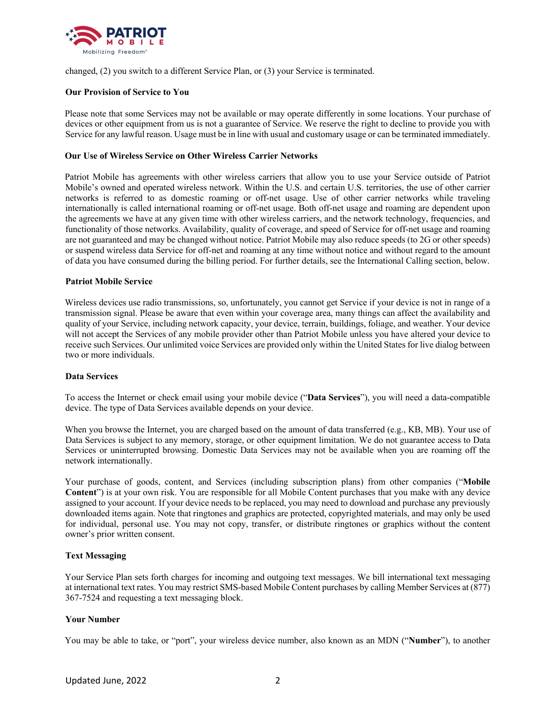

changed, (2) you switch to a different Service Plan, or (3) your Service is terminated.

## **Our Provision of Service to You**

Please note that some Services may not be available or may operate differently in some locations. Your purchase of devices or other equipment from us is not a guarantee of Service. We reserve the right to decline to provide you with Service for any lawful reason. Usage must be in line with usual and customary usage or can be terminated immediately.

#### **Our Use of Wireless Service on Other Wireless Carrier Networks**

Patriot Mobile has agreements with other wireless carriers that allow you to use your Service outside of Patriot Mobile's owned and operated wireless network. Within the U.S. and certain U.S. territories, the use of other carrier networks is referred to as domestic roaming or off-net usage. Use of other carrier networks while traveling internationally is called international roaming or off-net usage. Both off-net usage and roaming are dependent upon the agreements we have at any given time with other wireless carriers, and the network technology, frequencies, and functionality of those networks. Availability, quality of coverage, and speed of Service for off-net usage and roaming are not guaranteed and may be changed without notice. Patriot Mobile may also reduce speeds (to 2G or other speeds) or suspend wireless data Service for off-net and roaming at any time without notice and without regard to the amount of data you have consumed during the billing period. For further details, see the International Calling section, below.

## **Patriot Mobile Service**

Wireless devices use radio transmissions, so, unfortunately, you cannot get Service if your device is not in range of a transmission signal. Please be aware that even within your coverage area, many things can affect the availability and quality of your Service, including network capacity, your device, terrain, buildings, foliage, and weather. Your device will not accept the Services of any mobile provider other than Patriot Mobile unless you have altered your device to receive such Services. Our unlimited voice Services are provided only within the United States for live dialog between two or more individuals.

#### **Data Services**

To access the Internet or check email using your mobile device ("**Data Services**"), you will need a data-compatible device. The type of Data Services available depends on your device.

When you browse the Internet, you are charged based on the amount of data transferred (e.g., KB, MB). Your use of Data Services is subject to any memory, storage, or other equipment limitation. We do not guarantee access to Data Services or uninterrupted browsing. Domestic Data Services may not be available when you are roaming off the network internationally.

Your purchase of goods, content, and Services (including subscription plans) from other companies ("**Mobile Content**") is at your own risk. You are responsible for all Mobile Content purchases that you make with any device assigned to your account. If your device needs to be replaced, you may need to download and purchase any previously downloaded items again. Note that ringtones and graphics are protected, copyrighted materials, and may only be used for individual, personal use. You may not copy, transfer, or distribute ringtones or graphics without the content owner's prior written consent.

#### **Text Messaging**

Your Service Plan sets forth charges for incoming and outgoing text messages. We bill international text messaging at international text rates. You may restrict SMS-based Mobile Content purchases by calling Member Services at (877) 367-7524 and requesting a text messaging block.

# **Your Number**

You may be able to take, or "port", your wireless device number, also known as an MDN ("**Number**"), to another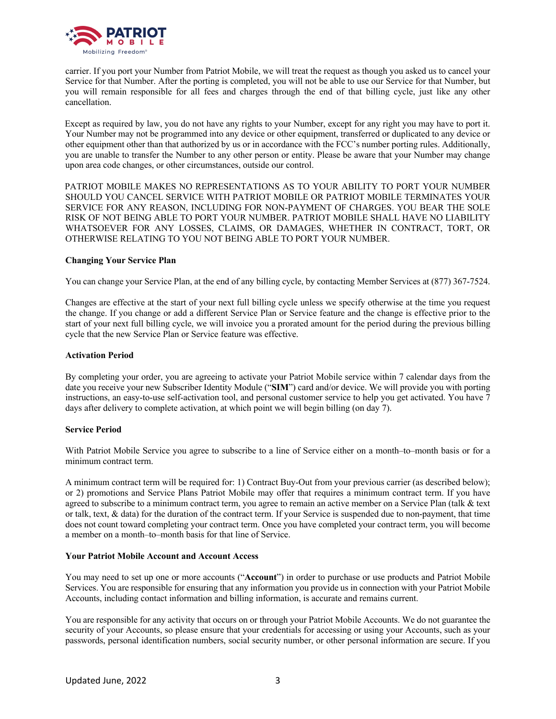

carrier. If you port your Number from Patriot Mobile, we will treat the request as though you asked us to cancel your Service for that Number. After the porting is completed, you will not be able to use our Service for that Number, but you will remain responsible for all fees and charges through the end of that billing cycle, just like any other cancellation.

Except as required by law, you do not have any rights to your Number, except for any right you may have to port it. Your Number may not be programmed into any device or other equipment, transferred or duplicated to any device or other equipment other than that authorized by us or in accordance with the FCC's number porting rules. Additionally, you are unable to transfer the Number to any other person or entity. Please be aware that your Number may change upon area code changes, or other circumstances, outside our control.

PATRIOT MOBILE MAKES NO REPRESENTATIONS AS TO YOUR ABILITY TO PORT YOUR NUMBER SHOULD YOU CANCEL SERVICE WITH PATRIOT MOBILE OR PATRIOT MOBILE TERMINATES YOUR SERVICE FOR ANY REASON, INCLUDING FOR NON-PAYMENT OF CHARGES. YOU BEAR THE SOLE RISK OF NOT BEING ABLE TO PORT YOUR NUMBER. PATRIOT MOBILE SHALL HAVE NO LIABILITY WHATSOEVER FOR ANY LOSSES, CLAIMS, OR DAMAGES, WHETHER IN CONTRACT, TORT, OR OTHERWISE RELATING TO YOU NOT BEING ABLE TO PORT YOUR NUMBER.

## **Changing Your Service Plan**

You can change your Service Plan, at the end of any billing cycle, by contacting Member Services at (877) 367-7524.

Changes are effective at the start of your next full billing cycle unless we specify otherwise at the time you request the change. If you change or add a different Service Plan or Service feature and the change is effective prior to the start of your next full billing cycle, we will invoice you a prorated amount for the period during the previous billing cycle that the new Service Plan or Service feature was effective.

#### **Activation Period**

By completing your order, you are agreeing to activate your Patriot Mobile service within 7 calendar days from the date you receive your new Subscriber Identity Module ("**SIM**") card and/or device. We will provide you with porting instructions, an easy-to-use self-activation tool, and personal customer service to help you get activated. You have 7 days after delivery to complete activation, at which point we will begin billing (on day 7).

# **Service Period**

With Patriot Mobile Service you agree to subscribe to a line of Service either on a month–to–month basis or for a minimum contract term.

A minimum contract term will be required for: 1) Contract Buy-Out from your previous carrier (as described below); or 2) promotions and Service Plans Patriot Mobile may offer that requires a minimum contract term. If you have agreed to subscribe to a minimum contract term, you agree to remain an active member on a Service Plan (talk  $\&$  text or talk, text, & data) for the duration of the contract term. If your Service is suspended due to non-payment, that time does not count toward completing your contract term. Once you have completed your contract term, you will become a member on a month–to–month basis for that line of Service.

#### **Your Patriot Mobile Account and Account Access**

You may need to set up one or more accounts ("**Account**") in order to purchase or use products and Patriot Mobile Services. You are responsible for ensuring that any information you provide us in connection with your Patriot Mobile Accounts, including contact information and billing information, is accurate and remains current.

You are responsible for any activity that occurs on or through your Patriot Mobile Accounts. We do not guarantee the security of your Accounts, so please ensure that your credentials for accessing or using your Accounts, such as your passwords, personal identification numbers, social security number, or other personal information are secure. If you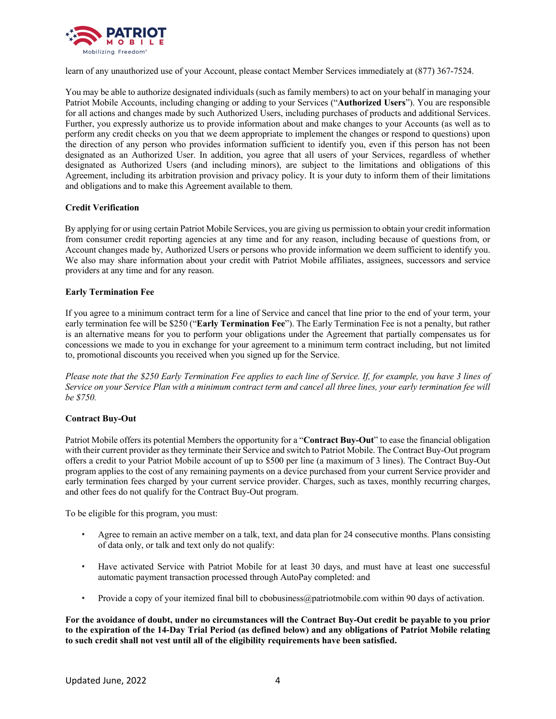

learn of any unauthorized use of your Account, please contact Member Services immediately at (877) 367-7524.

You may be able to authorize designated individuals (such as family members) to act on your behalf in managing your Patriot Mobile Accounts, including changing or adding to your Services ("**Authorized Users**"). You are responsible for all actions and changes made by such Authorized Users, including purchases of products and additional Services. Further, you expressly authorize us to provide information about and make changes to your Accounts (as well as to perform any credit checks on you that we deem appropriate to implement the changes or respond to questions) upon the direction of any person who provides information sufficient to identify you, even if this person has not been designated as an Authorized User. In addition, you agree that all users of your Services, regardless of whether designated as Authorized Users (and including minors), are subject to the limitations and obligations of this Agreement, including its arbitration provision and privacy policy. It is your duty to inform them of their limitations and obligations and to make this Agreement available to them.

# **Credit Verification**

By applying for or using certain Patriot Mobile Services, you are giving us permission to obtain your credit information from consumer credit reporting agencies at any time and for any reason, including because of questions from, or Account changes made by, Authorized Users or persons who provide information we deem sufficient to identify you. We also may share information about your credit with Patriot Mobile affiliates, assignees, successors and service providers at any time and for any reason.

# **Early Termination Fee**

If you agree to a minimum contract term for a line of Service and cancel that line prior to the end of your term, your early termination fee will be \$250 ("**Early Termination Fee**"). The Early Termination Fee is not a penalty, but rather is an alternative means for you to perform your obligations under the Agreement that partially compensates us for concessions we made to you in exchange for your agreement to a minimum term contract including, but not limited to, promotional discounts you received when you signed up for the Service.

*Please note that the \$250 Early Termination Fee applies to each line of Service. If, for example, you have 3 lines of Service on your Service Plan with a minimum contract term and cancel all three lines, your early termination fee will be \$750.*

# **Contract Buy-Out**

Patriot Mobile offers its potential Members the opportunity for a "**Contract Buy-Out**" to ease the financial obligation with their current provider as they terminate their Service and switch to Patriot Mobile. The Contract Buy-Out program offers a credit to your Patriot Mobile account of up to \$500 per line (a maximum of 3 lines). The Contract Buy-Out program applies to the cost of any remaining payments on a device purchased from your current Service provider and early termination fees charged by your current service provider. Charges, such as taxes, monthly recurring charges, and other fees do not qualify for the Contract Buy-Out program.

To be eligible for this program, you must:

- Agree to remain an active member on a talk, text, and data plan for 24 consecutive months. Plans consisting of data only, or talk and text only do not qualify:
- Have activated Service with Patriot Mobile for at least 30 days, and must have at least one successful automatic payment transaction processed through AutoPay completed: and
- Provide a copy of your itemized final bill to cbobusiness@patriotmobile.com within 90 days of activation.

**For the avoidance of doubt, under no circumstances will the Contract Buy-Out credit be payable to you prior to the expiration of the 14-Day Trial Period (as defined below) and any obligations of Patriot Mobile relating to such credit shall not vest until all of the eligibility requirements have been satisfied.**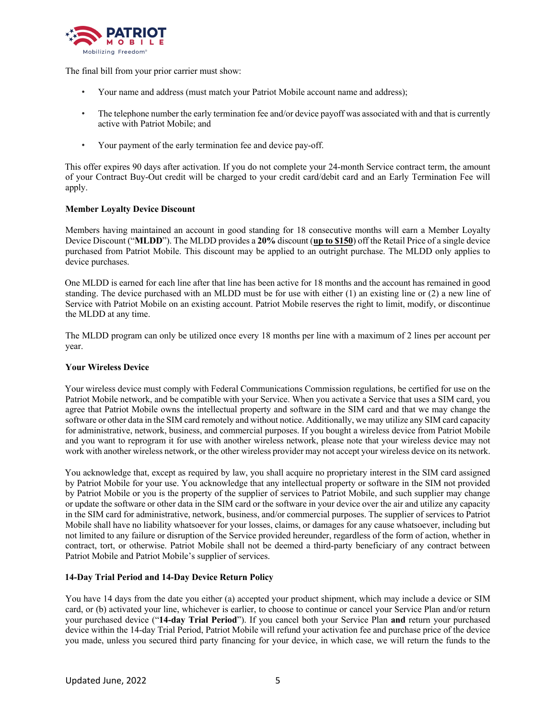

The final bill from your prior carrier must show:

- Your name and address (must match your Patriot Mobile account name and address);
- The telephone number the early termination fee and/or device payoff was associated with and that is currently active with Patriot Mobile; and
- Your payment of the early termination fee and device pay-off.

This offer expires 90 days after activation. If you do not complete your 24-month Service contract term, the amount of your Contract Buy-Out credit will be charged to your credit card/debit card and an Early Termination Fee will apply.

# **Member Loyalty Device Discount**

Members having maintained an account in good standing for 18 consecutive months will earn a Member Loyalty Device Discount ("**MLDD**"). The MLDD provides a **20%** discount (**up to \$150**) off the Retail Price of a single device purchased from Patriot Mobile. This discount may be applied to an outright purchase. The MLDD only applies to device purchases.

One MLDD is earned for each line after that line has been active for 18 months and the account has remained in good standing. The device purchased with an MLDD must be for use with either (1) an existing line or (2) a new line of Service with Patriot Mobile on an existing account. Patriot Mobile reserves the right to limit, modify, or discontinue the MLDD at any time.

The MLDD program can only be utilized once every 18 months per line with a maximum of 2 lines per account per year.

# **Your Wireless Device**

Your wireless device must comply with Federal Communications Commission regulations, be certified for use on the Patriot Mobile network, and be compatible with your Service. When you activate a Service that uses a SIM card, you agree that Patriot Mobile owns the intellectual property and software in the SIM card and that we may change the software or other data in the SIM card remotely and without notice. Additionally, we may utilize any SIM card capacity for administrative, network, business, and commercial purposes. If you bought a wireless device from Patriot Mobile and you want to reprogram it for use with another wireless network, please note that your wireless device may not work with another wireless network, or the other wireless provider may not accept your wireless device on its network.

You acknowledge that, except as required by law, you shall acquire no proprietary interest in the SIM card assigned by Patriot Mobile for your use. You acknowledge that any intellectual property or software in the SIM not provided by Patriot Mobile or you is the property of the supplier of services to Patriot Mobile, and such supplier may change or update the software or other data in the SIM card or the software in your device over the air and utilize any capacity in the SIM card for administrative, network, business, and/or commercial purposes. The supplier of services to Patriot Mobile shall have no liability whatsoever for your losses, claims, or damages for any cause whatsoever, including but not limited to any failure or disruption of the Service provided hereunder, regardless of the form of action, whether in contract, tort, or otherwise. Patriot Mobile shall not be deemed a third-party beneficiary of any contract between Patriot Mobile and Patriot Mobile's supplier of services.

# **14-Day Trial Period and 14-Day Device Return Policy**

You have 14 days from the date you either (a) accepted your product shipment, which may include a device or SIM card, or (b) activated your line, whichever is earlier, to choose to continue or cancel your Service Plan and/or return your purchased device ("**14-day Trial Period**"). If you cancel both your Service Plan **and** return your purchased device within the 14-day Trial Period, Patriot Mobile will refund your activation fee and purchase price of the device you made, unless you secured third party financing for your device, in which case, we will return the funds to the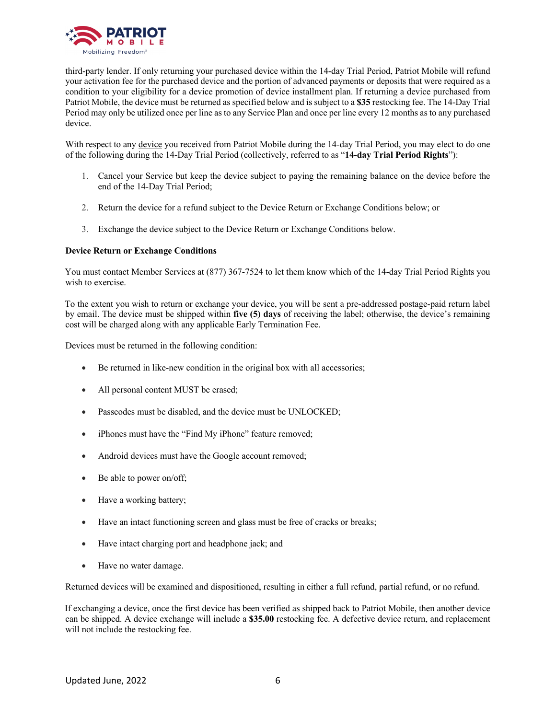

third-party lender. If only returning your purchased device within the 14-day Trial Period, Patriot Mobile will refund your activation fee for the purchased device and the portion of advanced payments or deposits that were required as a condition to your eligibility for a device promotion of device installment plan. If returning a device purchased from Patriot Mobile, the device must be returned as specified below and is subject to a **\$35** restocking fee. The 14-Day Trial Period may only be utilized once per line as to any Service Plan and once per line every 12 months as to any purchased device.

With respect to any device you received from Patriot Mobile during the 14-day Trial Period, you may elect to do one of the following during the 14-Day Trial Period (collectively, referred to as "**14-day Trial Period Rights**"):

- 1. Cancel your Service but keep the device subject to paying the remaining balance on the device before the end of the 14-Day Trial Period;
- 2. Return the device for a refund subject to the Device Return or Exchange Conditions below; or
- 3. Exchange the device subject to the Device Return or Exchange Conditions below.

## **Device Return or Exchange Conditions**

You must contact Member Services at (877) 367-7524 to let them know which of the 14-day Trial Period Rights you wish to exercise.

To the extent you wish to return or exchange your device, you will be sent a pre-addressed postage-paid return label by email. The device must be shipped within **five (5) days** of receiving the label; otherwise, the device's remaining cost will be charged along with any applicable Early Termination Fee.

Devices must be returned in the following condition:

- Be returned in like-new condition in the original box with all accessories;
- All personal content MUST be erased;
- Passcodes must be disabled, and the device must be UNLOCKED;
- iPhones must have the "Find My iPhone" feature removed;
- Android devices must have the Google account removed;
- Be able to power on/off;
- Have a working battery;
- Have an intact functioning screen and glass must be free of cracks or breaks;
- Have intact charging port and headphone jack; and
- Have no water damage.

Returned devices will be examined and dispositioned, resulting in either a full refund, partial refund, or no refund.

If exchanging a device, once the first device has been verified as shipped back to Patriot Mobile, then another device can be shipped. A device exchange will include a **\$35.00** restocking fee. A defective device return, and replacement will not include the restocking fee.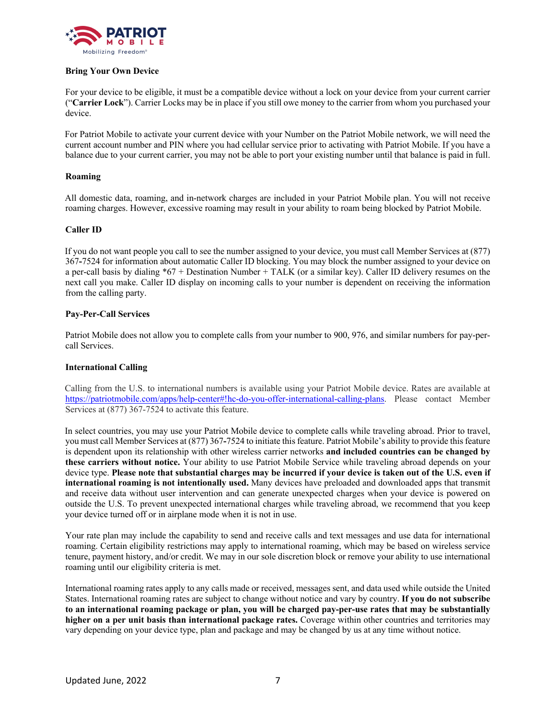

# **Bring Your Own Device**

For your device to be eligible, it must be a compatible device without a lock on your device from your current carrier ("**Carrier Lock**"). Carrier Locks may be in place if you still owe money to the carrier from whom you purchased your device.

For Patriot Mobile to activate your current device with your Number on the Patriot Mobile network, we will need the current account number and PIN where you had cellular service prior to activating with Patriot Mobile. If you have a balance due to your current carrier, you may not be able to port your existing number until that balance is paid in full.

# **Roaming**

All domestic data, roaming, and in-network charges are included in your Patriot Mobile plan. You will not receive roaming charges. However, excessive roaming may result in your ability to roam being blocked by Patriot Mobile.

# **Caller ID**

If you do not want people you call to see the number assigned to your device, you must call Member Services at (877) 367**-**7524 for information about automatic Caller ID blocking. You may block the number assigned to your device on a per-call basis by dialing \*67 + Destination Number + TALK (or a similar key). Caller ID delivery resumes on the next call you make. Caller ID display on incoming calls to your number is dependent on receiving the information from the calling party.

# **Pay-Per-Call Services**

Patriot Mobile does not allow you to complete calls from your number to 900, 976, and similar numbers for pay-percall Services.

# **International Calling**

Calling from the U.S. to international numbers is available using your Patriot Mobile device. Rates are available at https://patriotmobile.com/apps/help-center#!hc-do-you-offer-international-calling-plans. Please contact Member Services at (877) 367-7524 to activate this feature.

In select countries, you may use your Patriot Mobile device to complete calls while traveling abroad. Prior to travel, you must call Member Services at (877) 367**-**7524 to initiate this feature. Patriot Mobile's ability to provide this feature is dependent upon its relationship with other wireless carrier networks **and included countries can be changed by these carriers without notice.** Your ability to use Patriot Mobile Service while traveling abroad depends on your device type. **Please note that substantial charges may be incurred if your device is taken out of the U.S. even if international roaming is not intentionally used.** Many devices have preloaded and downloaded apps that transmit and receive data without user intervention and can generate unexpected charges when your device is powered on outside the U.S. To prevent unexpected international charges while traveling abroad, we recommend that you keep your device turned off or in airplane mode when it is not in use.

Your rate plan may include the capability to send and receive calls and text messages and use data for international roaming. Certain eligibility restrictions may apply to international roaming, which may be based on wireless service tenure, payment history, and/or credit. We may in our sole discretion block or remove your ability to use international roaming until our eligibility criteria is met.

International roaming rates apply to any calls made or received, messages sent, and data used while outside the United States. International roaming rates are subject to change without notice and vary by country. **If you do not subscribe to an international roaming package or plan, you will be charged pay-per-use rates that may be substantially higher on a per unit basis than international package rates.** Coverage within other countries and territories may vary depending on your device type, plan and package and may be changed by us at any time without notice.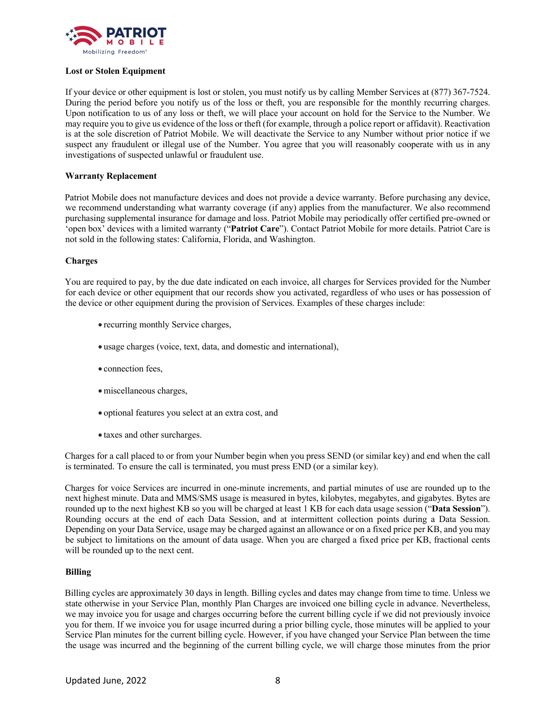

## **Lost or Stolen Equipment**

If your device or other equipment is lost or stolen, you must notify us by calling Member Services at (877) 367-7524. During the period before you notify us of the loss or theft, you are responsible for the monthly recurring charges. Upon notification to us of any loss or theft, we will place your account on hold for the Service to the Number. We may require you to give us evidence of the loss or theft (for example, through a police report or affidavit). Reactivation is at the sole discretion of Patriot Mobile. We will deactivate the Service to any Number without prior notice if we suspect any fraudulent or illegal use of the Number. You agree that you will reasonably cooperate with us in any investigations of suspected unlawful or fraudulent use.

## **Warranty Replacement**

Patriot Mobile does not manufacture devices and does not provide a device warranty. Before purchasing any device, we recommend understanding what warranty coverage (if any) applies from the manufacturer. We also recommend purchasing supplemental insurance for damage and loss. Patriot Mobile may periodically offer certified pre-owned or 'open box' devices with a limited warranty ("**Patriot Care**"). Contact Patriot Mobile for more details. Patriot Care is not sold in the following states: California, Florida, and Washington.

#### **Charges**

You are required to pay, by the due date indicated on each invoice, all charges for Services provided for the Number for each device or other equipment that our records show you activated, regardless of who uses or has possession of the device or other equipment during the provision of Services. Examples of these charges include:

- recurring monthly Service charges,
- usage charges (voice, text, data, and domestic and international),
- connection fees,
- miscellaneous charges,
- optional features you select at an extra cost, and
- taxes and other surcharges.

Charges for a call placed to or from your Number begin when you press SEND (or similar key) and end when the call is terminated. To ensure the call is terminated, you must press END (or a similar key).

Charges for voice Services are incurred in one-minute increments, and partial minutes of use are rounded up to the next highest minute. Data and MMS/SMS usage is measured in bytes, kilobytes, megabytes, and gigabytes. Bytes are rounded up to the next highest KB so you will be charged at least 1 KB for each data usage session ("**Data Session**"). Rounding occurs at the end of each Data Session, and at intermittent collection points during a Data Session. Depending on your Data Service, usage may be charged against an allowance or on a fixed price per KB, and you may be subject to limitations on the amount of data usage. When you are charged a fixed price per KB, fractional cents will be rounded up to the next cent.

#### **Billing**

Billing cycles are approximately 30 days in length. Billing cycles and dates may change from time to time. Unless we state otherwise in your Service Plan, monthly Plan Charges are invoiced one billing cycle in advance. Nevertheless, we may invoice you for usage and charges occurring before the current billing cycle if we did not previously invoice you for them. If we invoice you for usage incurred during a prior billing cycle, those minutes will be applied to your Service Plan minutes for the current billing cycle. However, if you have changed your Service Plan between the time the usage was incurred and the beginning of the current billing cycle, we will charge those minutes from the prior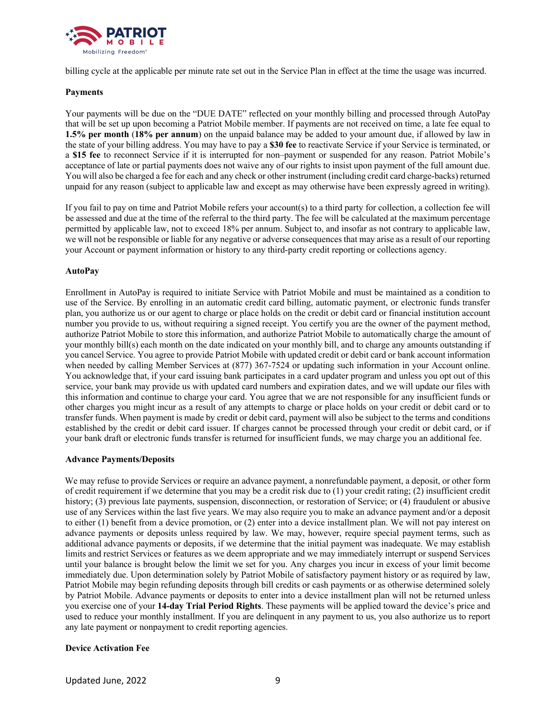

billing cycle at the applicable per minute rate set out in the Service Plan in effect at the time the usage was incurred.

# **Payments**

Your payments will be due on the "DUE DATE" reflected on your monthly billing and processed through AutoPay that will be set up upon becoming a Patriot Mobile member. If payments are not received on time, a late fee equal to **1.5% per month** (**18% per annum**) on the unpaid balance may be added to your amount due, if allowed by law in the state of your billing address. You may have to pay a **\$30 fee** to reactivate Service if your Service is terminated, or a **\$15 fee** to reconnect Service if it is interrupted for non–payment or suspended for any reason. Patriot Mobile's acceptance of late or partial payments does not waive any of our rights to insist upon payment of the full amount due. You will also be charged a fee for each and any check or other instrument (including credit card charge-backs) returned unpaid for any reason (subject to applicable law and except as may otherwise have been expressly agreed in writing).

If you fail to pay on time and Patriot Mobile refers your account(s) to a third party for collection, a collection fee will be assessed and due at the time of the referral to the third party. The fee will be calculated at the maximum percentage permitted by applicable law, not to exceed 18% per annum. Subject to, and insofar as not contrary to applicable law, we will not be responsible or liable for any negative or adverse consequences that may arise as a result of our reporting your Account or payment information or history to any third-party credit reporting or collections agency.

# **AutoPay**

Enrollment in AutoPay is required to initiate Service with Patriot Mobile and must be maintained as a condition to use of the Service. By enrolling in an automatic credit card billing, automatic payment, or electronic funds transfer plan, you authorize us or our agent to charge or place holds on the credit or debit card or financial institution account number you provide to us, without requiring a signed receipt. You certify you are the owner of the payment method, authorize Patriot Mobile to store this information, and authorize Patriot Mobile to automatically charge the amount of your monthly bill(s) each month on the date indicated on your monthly bill, and to charge any amounts outstanding if you cancel Service. You agree to provide Patriot Mobile with updated credit or debit card or bank account information when needed by calling Member Services at  $(877)$  367-7524 or updating such information in your Account online. You acknowledge that, if your card issuing bank participates in a card updater program and unless you opt out of this service, your bank may provide us with updated card numbers and expiration dates, and we will update our files with this information and continue to charge your card. You agree that we are not responsible for any insufficient funds or other charges you might incur as a result of any attempts to charge or place holds on your credit or debit card or to transfer funds. When payment is made by credit or debit card, payment will also be subject to the terms and conditions established by the credit or debit card issuer. If charges cannot be processed through your credit or debit card, or if your bank draft or electronic funds transfer is returned for insufficient funds, we may charge you an additional fee.

# **Advance Payments/Deposits**

We may refuse to provide Services or require an advance payment, a nonrefundable payment, a deposit, or other form of credit requirement if we determine that you may be a credit risk due to (1) your credit rating; (2) insufficient credit history; (3) previous late payments, suspension, disconnection, or restoration of Service; or (4) fraudulent or abusive use of any Services within the last five years. We may also require you to make an advance payment and/or a deposit to either (1) benefit from a device promotion, or (2) enter into a device installment plan. We will not pay interest on advance payments or deposits unless required by law. We may, however, require special payment terms, such as additional advance payments or deposits, if we determine that the initial payment was inadequate. We may establish limits and restrict Services or features as we deem appropriate and we may immediately interrupt or suspend Services until your balance is brought below the limit we set for you. Any charges you incur in excess of your limit become immediately due. Upon determination solely by Patriot Mobile of satisfactory payment history or as required by law, Patriot Mobile may begin refunding deposits through bill credits or cash payments or as otherwise determined solely by Patriot Mobile. Advance payments or deposits to enter into a device installment plan will not be returned unless you exercise one of your **14-day Trial Period Rights**. These payments will be applied toward the device's price and used to reduce your monthly installment. If you are delinquent in any payment to us, you also authorize us to report any late payment or nonpayment to credit reporting agencies.

# **Device Activation Fee**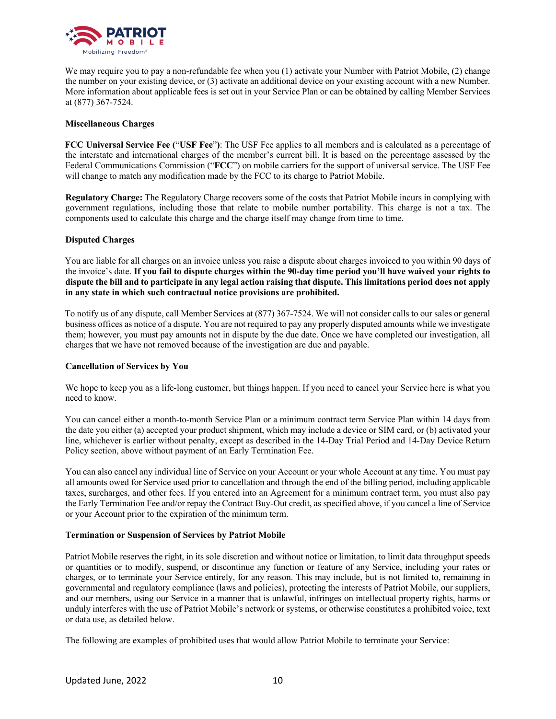

We may require you to pay a non-refundable fee when you (1) activate your Number with Patriot Mobile, (2) change the number on your existing device, or (3) activate an additional device on your existing account with a new Number. More information about applicable fees is set out in your Service Plan or can be obtained by calling Member Services at (877) 367-7524.

## **Miscellaneous Charges**

**FCC Universal Service Fee (**"**USF Fee**"**)**: The USF Fee applies to all members and is calculated as a percentage of the interstate and international charges of the member's current bill. It is based on the percentage assessed by the Federal Communications Commission ("**FCC**") on mobile carriers for the support of universal service. The USF Fee will change to match any modification made by the FCC to its charge to Patriot Mobile.

**Regulatory Charge:** The Regulatory Charge recovers some of the costs that Patriot Mobile incurs in complying with government regulations, including those that relate to mobile number portability. This charge is not a tax. The components used to calculate this charge and the charge itself may change from time to time.

## **Disputed Charges**

You are liable for all charges on an invoice unless you raise a dispute about charges invoiced to you within 90 days of the invoice's date. **If you fail to dispute charges within the 90-day time period you'll have waived your rights to dispute the bill and to participate in any legal action raising that dispute. This limitations period does not apply in any state in which such contractual notice provisions are prohibited.** 

To notify us of any dispute, call Member Services at (877) 367-7524. We will not consider calls to our sales or general business offices as notice of a dispute. You are not required to pay any properly disputed amounts while we investigate them; however, you must pay amounts not in dispute by the due date. Once we have completed our investigation, all charges that we have not removed because of the investigation are due and payable.

#### **Cancellation of Services by You**

We hope to keep you as a life-long customer, but things happen. If you need to cancel your Service here is what you need to know.

You can cancel either a month-to-month Service Plan or a minimum contract term Service Plan within 14 days from the date you either (a) accepted your product shipment, which may include a device or SIM card, or (b) activated your line, whichever is earlier without penalty, except as described in the 14-Day Trial Period and 14-Day Device Return Policy section, above without payment of an Early Termination Fee.

You can also cancel any individual line of Service on your Account or your whole Account at any time. You must pay all amounts owed for Service used prior to cancellation and through the end of the billing period, including applicable taxes, surcharges, and other fees. If you entered into an Agreement for a minimum contract term, you must also pay the Early Termination Fee and/or repay the Contract Buy-Out credit, as specified above, if you cancel a line of Service or your Account prior to the expiration of the minimum term.

#### **Termination or Suspension of Services by Patriot Mobile**

Patriot Mobile reserves the right, in its sole discretion and without notice or limitation, to limit data throughput speeds or quantities or to modify, suspend, or discontinue any function or feature of any Service, including your rates or charges, or to terminate your Service entirely, for any reason. This may include, but is not limited to, remaining in governmental and regulatory compliance (laws and policies), protecting the interests of Patriot Mobile, our suppliers, and our members, using our Service in a manner that is unlawful, infringes on intellectual property rights, harms or unduly interferes with the use of Patriot Mobile's network or systems, or otherwise constitutes a prohibited voice, text or data use, as detailed below.

The following are examples of prohibited uses that would allow Patriot Mobile to terminate your Service: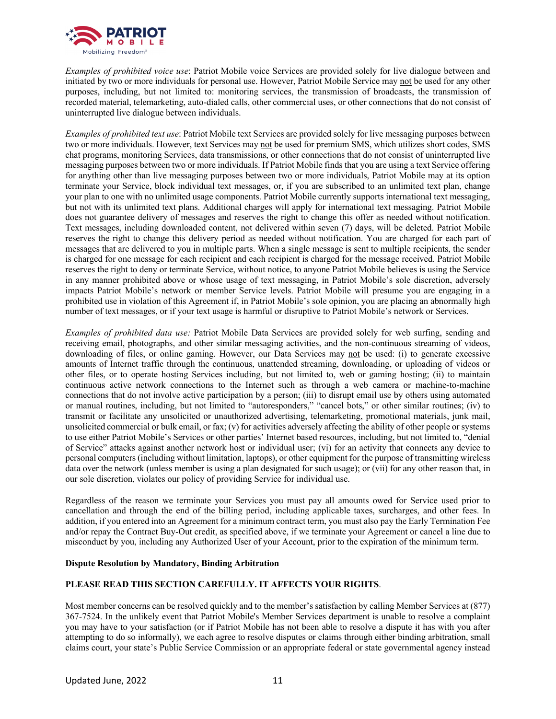

*Examples of prohibited voice use*: Patriot Mobile voice Services are provided solely for live dialogue between and initiated by two or more individuals for personal use. However, Patriot Mobile Service may not be used for any other purposes, including, but not limited to: monitoring services, the transmission of broadcasts, the transmission of recorded material, telemarketing, auto-dialed calls, other commercial uses, or other connections that do not consist of uninterrupted live dialogue between individuals.

*Examples of prohibited text use*: Patriot Mobile text Services are provided solely for live messaging purposes between two or more individuals. However, text Services may not be used for premium SMS, which utilizes short codes, SMS chat programs, monitoring Services, data transmissions, or other connections that do not consist of uninterrupted live messaging purposes between two or more individuals. If Patriot Mobile finds that you are using a text Service offering for anything other than live messaging purposes between two or more individuals, Patriot Mobile may at its option terminate your Service, block individual text messages, or, if you are subscribed to an unlimited text plan, change your plan to one with no unlimited usage components. Patriot Mobile currently supports international text messaging, but not with its unlimited text plans. Additional charges will apply for international text messaging. Patriot Mobile does not guarantee delivery of messages and reserves the right to change this offer as needed without notification. Text messages, including downloaded content, not delivered within seven (7) days, will be deleted. Patriot Mobile reserves the right to change this delivery period as needed without notification. You are charged for each part of messages that are delivered to you in multiple parts. When a single message is sent to multiple recipients, the sender is charged for one message for each recipient and each recipient is charged for the message received. Patriot Mobile reserves the right to deny or terminate Service, without notice, to anyone Patriot Mobile believes is using the Service in any manner prohibited above or whose usage of text messaging, in Patriot Mobile's sole discretion, adversely impacts Patriot Mobile's network or member Service levels. Patriot Mobile will presume you are engaging in a prohibited use in violation of this Agreement if, in Patriot Mobile's sole opinion, you are placing an abnormally high number of text messages, or if your text usage is harmful or disruptive to Patriot Mobile's network or Services.

*Examples of prohibited data use:* Patriot Mobile Data Services are provided solely for web surfing, sending and receiving email, photographs, and other similar messaging activities, and the non-continuous streaming of videos, downloading of files, or online gaming. However, our Data Services may not be used: (i) to generate excessive amounts of Internet traffic through the continuous, unattended streaming, downloading, or uploading of videos or other files, or to operate hosting Services including, but not limited to, web or gaming hosting; (ii) to maintain continuous active network connections to the Internet such as through a web camera or machine-to-machine connections that do not involve active participation by a person; (iii) to disrupt email use by others using automated or manual routines, including, but not limited to "autoresponders," "cancel bots," or other similar routines; (iv) to transmit or facilitate any unsolicited or unauthorized advertising, telemarketing, promotional materials, junk mail, unsolicited commercial or bulk email, or fax;  $(v)$  for activities adversely affecting the ability of other people or systems to use either Patriot Mobile's Services or other parties' Internet based resources, including, but not limited to, "denial of Service" attacks against another network host or individual user; (vi) for an activity that connects any device to personal computers (including without limitation, laptops), or other equipment for the purpose of transmitting wireless data over the network (unless member is using a plan designated for such usage); or (vii) for any other reason that, in our sole discretion, violates our policy of providing Service for individual use.

Regardless of the reason we terminate your Services you must pay all amounts owed for Service used prior to cancellation and through the end of the billing period, including applicable taxes, surcharges, and other fees. In addition, if you entered into an Agreement for a minimum contract term, you must also pay the Early Termination Fee and/or repay the Contract Buy-Out credit, as specified above, if we terminate your Agreement or cancel a line due to misconduct by you, including any Authorized User of your Account, prior to the expiration of the minimum term.

# **Dispute Resolution by Mandatory, Binding Arbitration**

# **PLEASE READ THIS SECTION CAREFULLY. IT AFFECTS YOUR RIGHTS**.

Most member concerns can be resolved quickly and to the member's satisfaction by calling Member Services at (877) 367-7524. In the unlikely event that Patriot Mobile's Member Services department is unable to resolve a complaint you may have to your satisfaction (or if Patriot Mobile has not been able to resolve a dispute it has with you after attempting to do so informally), we each agree to resolve disputes or claims through either binding arbitration, small claims court, your state's Public Service Commission or an appropriate federal or state governmental agency instead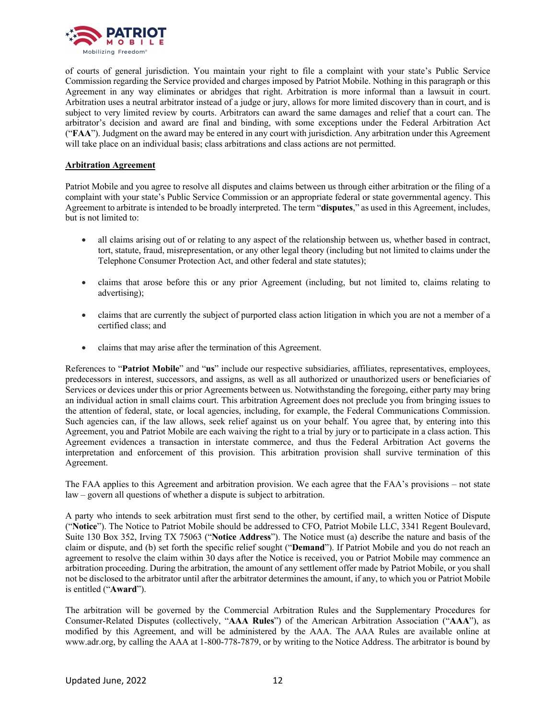

of courts of general jurisdiction. You maintain your right to file a complaint with your state's Public Service Commission regarding the Service provided and charges imposed by Patriot Mobile. Nothing in this paragraph or this Agreement in any way eliminates or abridges that right. Arbitration is more informal than a lawsuit in court. Arbitration uses a neutral arbitrator instead of a judge or jury, allows for more limited discovery than in court, and is subject to very limited review by courts. Arbitrators can award the same damages and relief that a court can. The arbitrator's decision and award are final and binding, with some exceptions under the Federal Arbitration Act ("**FAA**"). Judgment on the award may be entered in any court with jurisdiction. Any arbitration under this Agreement will take place on an individual basis; class arbitrations and class actions are not permitted.

## **Arbitration Agreement**

Patriot Mobile and you agree to resolve all disputes and claims between us through either arbitration or the filing of a complaint with your state's Public Service Commission or an appropriate federal or state governmental agency. This Agreement to arbitrate is intended to be broadly interpreted. The term "**disputes**," as used in this Agreement, includes, but is not limited to:

- all claims arising out of or relating to any aspect of the relationship between us, whether based in contract, tort, statute, fraud, misrepresentation, or any other legal theory (including but not limited to claims under the Telephone Consumer Protection Act, and other federal and state statutes);
- claims that arose before this or any prior Agreement (including, but not limited to, claims relating to advertising);
- claims that are currently the subject of purported class action litigation in which you are not a member of a certified class; and
- claims that may arise after the termination of this Agreement.

References to "**Patriot Mobile**" and "**us**" include our respective subsidiaries, affiliates, representatives, employees, predecessors in interest, successors, and assigns, as well as all authorized or unauthorized users or beneficiaries of Services or devices under this or prior Agreements between us. Notwithstanding the foregoing, either party may bring an individual action in small claims court. This arbitration Agreement does not preclude you from bringing issues to the attention of federal, state, or local agencies, including, for example, the Federal Communications Commission. Such agencies can, if the law allows, seek relief against us on your behalf. You agree that, by entering into this Agreement, you and Patriot Mobile are each waiving the right to a trial by jury or to participate in a class action. This Agreement evidences a transaction in interstate commerce, and thus the Federal Arbitration Act governs the interpretation and enforcement of this provision. This arbitration provision shall survive termination of this Agreement.

The FAA applies to this Agreement and arbitration provision. We each agree that the FAA's provisions – not state law – govern all questions of whether a dispute is subject to arbitration.

A party who intends to seek arbitration must first send to the other, by certified mail, a written Notice of Dispute ("**Notice**"). The Notice to Patriot Mobile should be addressed to CFO, Patriot Mobile LLC, 3341 Regent Boulevard, Suite 130 Box 352, Irving TX 75063 ("**Notice Address**"). The Notice must (a) describe the nature and basis of the claim or dispute, and (b) set forth the specific relief sought ("**Demand**"). If Patriot Mobile and you do not reach an agreement to resolve the claim within 30 days after the Notice is received, you or Patriot Mobile may commence an arbitration proceeding. During the arbitration, the amount of any settlement offer made by Patriot Mobile, or you shall not be disclosed to the arbitrator until after the arbitrator determines the amount, if any, to which you or Patriot Mobile is entitled ("**Award**").

The arbitration will be governed by the Commercial Arbitration Rules and the Supplementary Procedures for Consumer-Related Disputes (collectively, "**AAA Rules**") of the American Arbitration Association ("**AAA**"), as modified by this Agreement, and will be administered by the AAA. The AAA Rules are available online at www.adr.org, by calling the AAA at 1-800-778-7879, or by writing to the Notice Address. The arbitrator is bound by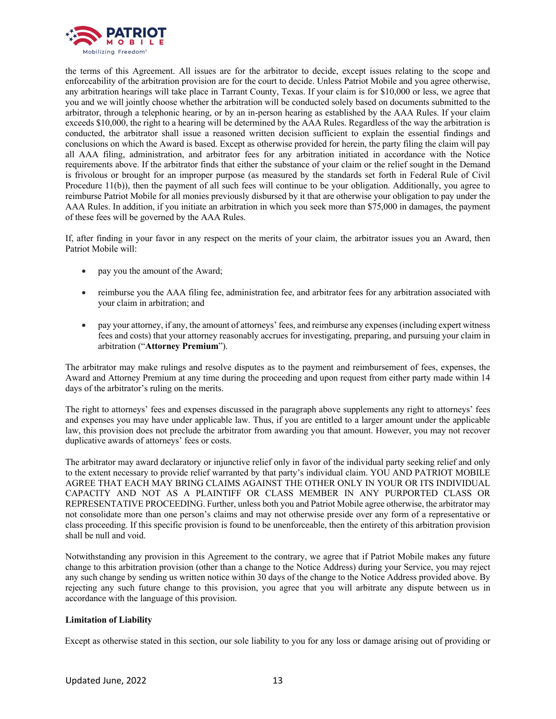

the terms of this Agreement. All issues are for the arbitrator to decide, except issues relating to the scope and enforceability of the arbitration provision are for the court to decide. Unless Patriot Mobile and you agree otherwise, any arbitration hearings will take place in Tarrant County, Texas. If your claim is for \$10,000 or less, we agree that you and we will jointly choose whether the arbitration will be conducted solely based on documents submitted to the arbitrator, through a telephonic hearing, or by an in-person hearing as established by the AAA Rules. If your claim exceeds \$10,000, the right to a hearing will be determined by the AAA Rules. Regardless of the way the arbitration is conducted, the arbitrator shall issue a reasoned written decision sufficient to explain the essential findings and conclusions on which the Award is based. Except as otherwise provided for herein, the party filing the claim will pay all AAA filing, administration, and arbitrator fees for any arbitration initiated in accordance with the Notice requirements above. If the arbitrator finds that either the substance of your claim or the relief sought in the Demand is frivolous or brought for an improper purpose (as measured by the standards set forth in Federal Rule of Civil Procedure 11(b)), then the payment of all such fees will continue to be your obligation. Additionally, you agree to reimburse Patriot Mobile for all monies previously disbursed by it that are otherwise your obligation to pay under the AAA Rules. In addition, if you initiate an arbitration in which you seek more than \$75,000 in damages, the payment of these fees will be governed by the AAA Rules.

If, after finding in your favor in any respect on the merits of your claim, the arbitrator issues you an Award, then Patriot Mobile will:

- pay you the amount of the Award;
- reimburse you the AAA filing fee, administration fee, and arbitrator fees for any arbitration associated with your claim in arbitration; and
- pay your attorney, if any, the amount of attorneys' fees, and reimburse any expenses (including expert witness fees and costs) that your attorney reasonably accrues for investigating, preparing, and pursuing your claim in arbitration ("**Attorney Premium**").

The arbitrator may make rulings and resolve disputes as to the payment and reimbursement of fees, expenses, the Award and Attorney Premium at any time during the proceeding and upon request from either party made within 14 days of the arbitrator's ruling on the merits.

The right to attorneys' fees and expenses discussed in the paragraph above supplements any right to attorneys' fees and expenses you may have under applicable law. Thus, if you are entitled to a larger amount under the applicable law, this provision does not preclude the arbitrator from awarding you that amount. However, you may not recover duplicative awards of attorneys' fees or costs.

The arbitrator may award declaratory or injunctive relief only in favor of the individual party seeking relief and only to the extent necessary to provide relief warranted by that party's individual claim. YOU AND PATRIOT MOBILE AGREE THAT EACH MAY BRING CLAIMS AGAINST THE OTHER ONLY IN YOUR OR ITS INDIVIDUAL CAPACITY AND NOT AS A PLAINTIFF OR CLASS MEMBER IN ANY PURPORTED CLASS OR REPRESENTATIVE PROCEEDING. Further, unless both you and Patriot Mobile agree otherwise, the arbitrator may not consolidate more than one person's claims and may not otherwise preside over any form of a representative or class proceeding. If this specific provision is found to be unenforceable, then the entirety of this arbitration provision shall be null and void.

Notwithstanding any provision in this Agreement to the contrary, we agree that if Patriot Mobile makes any future change to this arbitration provision (other than a change to the Notice Address) during your Service, you may reject any such change by sending us written notice within 30 days of the change to the Notice Address provided above. By rejecting any such future change to this provision, you agree that you will arbitrate any dispute between us in accordance with the language of this provision.

# **Limitation of Liability**

Except as otherwise stated in this section, our sole liability to you for any loss or damage arising out of providing or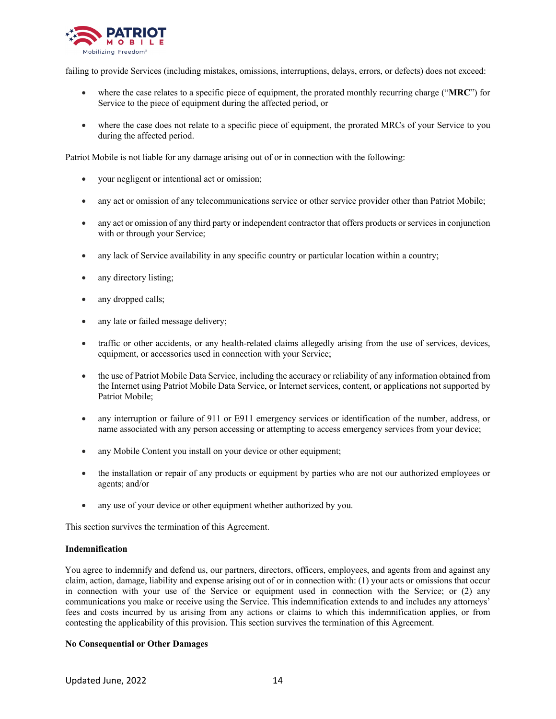

failing to provide Services (including mistakes, omissions, interruptions, delays, errors, or defects) does not exceed:

- where the case relates to a specific piece of equipment, the prorated monthly recurring charge ("**MRC**") for Service to the piece of equipment during the affected period, or
- where the case does not relate to a specific piece of equipment, the prorated MRCs of your Service to you during the affected period.

Patriot Mobile is not liable for any damage arising out of or in connection with the following:

- your negligent or intentional act or omission;
- any act or omission of any telecommunications service or other service provider other than Patriot Mobile;
- any act or omission of any third party or independent contractor that offers products or services in conjunction with or through your Service;
- any lack of Service availability in any specific country or particular location within a country;
- any directory listing;
- any dropped calls;
- any late or failed message delivery;
- traffic or other accidents, or any health-related claims allegedly arising from the use of services, devices, equipment, or accessories used in connection with your Service;
- the use of Patriot Mobile Data Service, including the accuracy or reliability of any information obtained from the Internet using Patriot Mobile Data Service, or Internet services, content, or applications not supported by Patriot Mobile;
- any interruption or failure of 911 or E911 emergency services or identification of the number, address, or name associated with any person accessing or attempting to access emergency services from your device;
- any Mobile Content you install on your device or other equipment;
- the installation or repair of any products or equipment by parties who are not our authorized employees or agents; and/or
- any use of your device or other equipment whether authorized by you.

This section survives the termination of this Agreement.

#### **Indemnification**

You agree to indemnify and defend us, our partners, directors, officers, employees, and agents from and against any claim, action, damage, liability and expense arising out of or in connection with: (1) your acts or omissions that occur in connection with your use of the Service or equipment used in connection with the Service; or (2) any communications you make or receive using the Service. This indemnification extends to and includes any attorneys' fees and costs incurred by us arising from any actions or claims to which this indemnification applies, or from contesting the applicability of this provision. This section survives the termination of this Agreement.

## **No Consequential or Other Damages**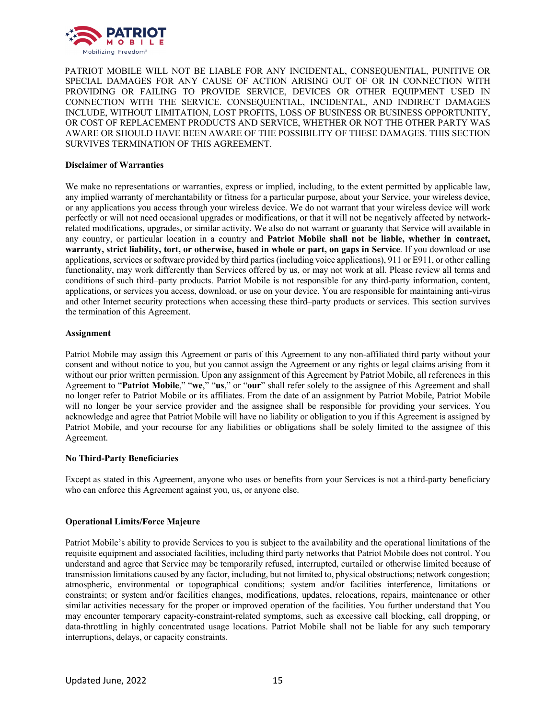

PATRIOT MOBILE WILL NOT BE LIABLE FOR ANY INCIDENTAL, CONSEQUENTIAL, PUNITIVE OR SPECIAL DAMAGES FOR ANY CAUSE OF ACTION ARISING OUT OF OR IN CONNECTION WITH PROVIDING OR FAILING TO PROVIDE SERVICE, DEVICES OR OTHER EQUIPMENT USED IN CONNECTION WITH THE SERVICE. CONSEQUENTIAL, INCIDENTAL, AND INDIRECT DAMAGES INCLUDE, WITHOUT LIMITATION, LOST PROFITS, LOSS OF BUSINESS OR BUSINESS OPPORTUNITY, OR COST OF REPLACEMENT PRODUCTS AND SERVICE, WHETHER OR NOT THE OTHER PARTY WAS AWARE OR SHOULD HAVE BEEN AWARE OF THE POSSIBILITY OF THESE DAMAGES. THIS SECTION SURVIVES TERMINATION OF THIS AGREEMENT.

## **Disclaimer of Warranties**

We make no representations or warranties, express or implied, including, to the extent permitted by applicable law, any implied warranty of merchantability or fitness for a particular purpose, about your Service, your wireless device, or any applications you access through your wireless device. We do not warrant that your wireless device will work perfectly or will not need occasional upgrades or modifications, or that it will not be negatively affected by networkrelated modifications, upgrades, or similar activity. We also do not warrant or guaranty that Service will available in any country, or particular location in a country and **Patriot Mobile shall not be liable, whether in contract, warranty, strict liability, tort, or otherwise, based in whole or part, on gaps in Service**. If you download or use applications, services or software provided by third parties (including voice applications), 911 or E911, or other calling functionality, may work differently than Services offered by us, or may not work at all. Please review all terms and conditions of such third–party products. Patriot Mobile is not responsible for any third-party information, content, applications, or services you access, download, or use on your device. You are responsible for maintaining anti-virus and other Internet security protections when accessing these third–party products or services. This section survives the termination of this Agreement.

#### **Assignment**

Patriot Mobile may assign this Agreement or parts of this Agreement to any non-affiliated third party without your consent and without notice to you, but you cannot assign the Agreement or any rights or legal claims arising from it without our prior written permission. Upon any assignment of this Agreement by Patriot Mobile, all references in this Agreement to "**Patriot Mobile**," "**we**," "**us**," or "**our**" shall refer solely to the assignee of this Agreement and shall no longer refer to Patriot Mobile or its affiliates. From the date of an assignment by Patriot Mobile, Patriot Mobile will no longer be your service provider and the assignee shall be responsible for providing your services. You acknowledge and agree that Patriot Mobile will have no liability or obligation to you if this Agreement is assigned by Patriot Mobile, and your recourse for any liabilities or obligations shall be solely limited to the assignee of this Agreement.

#### **No Third-Party Beneficiaries**

Except as stated in this Agreement, anyone who uses or benefits from your Services is not a third-party beneficiary who can enforce this Agreement against you, us, or anyone else.

# **Operational Limits/Force Majeure**

Patriot Mobile's ability to provide Services to you is subject to the availability and the operational limitations of the requisite equipment and associated facilities, including third party networks that Patriot Mobile does not control. You understand and agree that Service may be temporarily refused, interrupted, curtailed or otherwise limited because of transmission limitations caused by any factor, including, but not limited to, physical obstructions; network congestion; atmospheric, environmental or topographical conditions; system and/or facilities interference, limitations or constraints; or system and/or facilities changes, modifications, updates, relocations, repairs, maintenance or other similar activities necessary for the proper or improved operation of the facilities. You further understand that You may encounter temporary capacity-constraint-related symptoms, such as excessive call blocking, call dropping, or data-throttling in highly concentrated usage locations. Patriot Mobile shall not be liable for any such temporary interruptions, delays, or capacity constraints.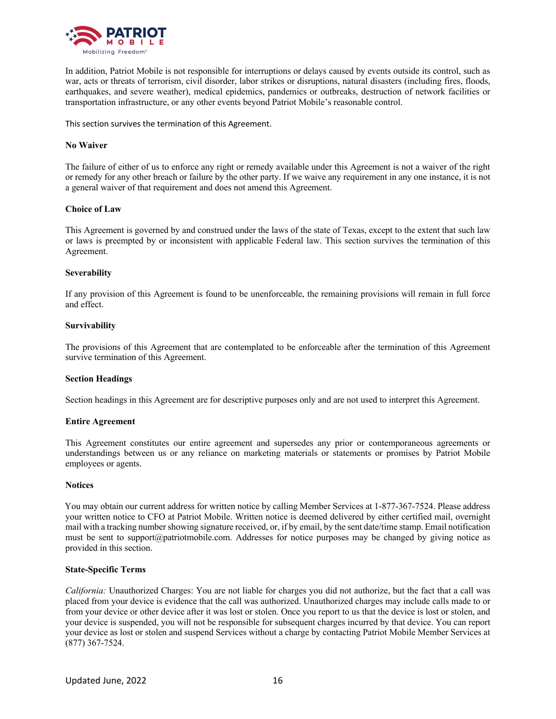

In addition, Patriot Mobile is not responsible for interruptions or delays caused by events outside its control, such as war, acts or threats of terrorism, civil disorder, labor strikes or disruptions, natural disasters (including fires, floods, earthquakes, and severe weather), medical epidemics, pandemics or outbreaks, destruction of network facilities or transportation infrastructure, or any other events beyond Patriot Mobile's reasonable control.

This section survives the termination of this Agreement.

## **No Waiver**

The failure of either of us to enforce any right or remedy available under this Agreement is not a waiver of the right or remedy for any other breach or failure by the other party. If we waive any requirement in any one instance, it is not a general waiver of that requirement and does not amend this Agreement.

## **Choice of Law**

This Agreement is governed by and construed under the laws of the state of Texas, except to the extent that such law or laws is preempted by or inconsistent with applicable Federal law. This section survives the termination of this Agreement.

## **Severability**

If any provision of this Agreement is found to be unenforceable, the remaining provisions will remain in full force and effect.

## **Survivability**

The provisions of this Agreement that are contemplated to be enforceable after the termination of this Agreement survive termination of this Agreement.

# **Section Headings**

Section headings in this Agreement are for descriptive purposes only and are not used to interpret this Agreement.

#### **Entire Agreement**

This Agreement constitutes our entire agreement and supersedes any prior or contemporaneous agreements or understandings between us or any reliance on marketing materials or statements or promises by Patriot Mobile employees or agents.

#### **Notices**

You may obtain our current address for written notice by calling Member Services at 1-877-367-7524. Please address your written notice to CFO at Patriot Mobile. Written notice is deemed delivered by either certified mail, overnight mail with a tracking number showing signature received, or, if by email, by the sent date/time stamp. Email notification must be sent to support@patriotmobile.com. Addresses for notice purposes may be changed by giving notice as provided in this section.

#### **State-Specific Terms**

*California:* Unauthorized Charges: You are not liable for charges you did not authorize, but the fact that a call was placed from your device is evidence that the call was authorized. Unauthorized charges may include calls made to or from your device or other device after it was lost or stolen. Once you report to us that the device is lost or stolen, and your device is suspended, you will not be responsible for subsequent charges incurred by that device. You can report your device as lost or stolen and suspend Services without a charge by contacting Patriot Mobile Member Services at (877) 367-7524.